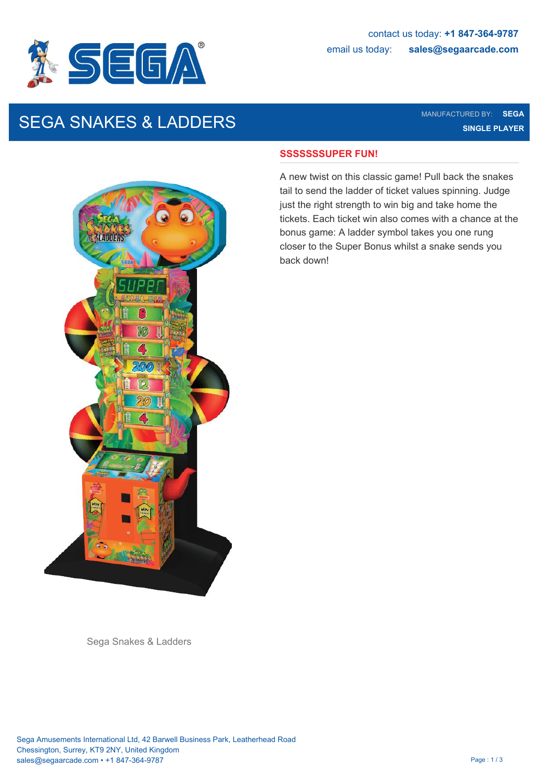

# SEGA SNAKES & LADDERS MANUFACTURED BY: SEGA SEGA SURFERENCE SEGA SURFERENCE SEGA SURFERENCE SEGA SURFERENCE SEG

**SINGLE PLAYER**



### **SSSSSSSUPER FUN!**

A new twist on this classic game! Pull back the snakes tail to send the ladder of ticket values spinning. Judge just the right strength to win big and take home the tickets. Each ticket win also comes with a chance at the bonus game: A ladder symbol takes you one rung closer to the Super Bonus whilst a snake sends you back down!

Sega Snakes & Ladders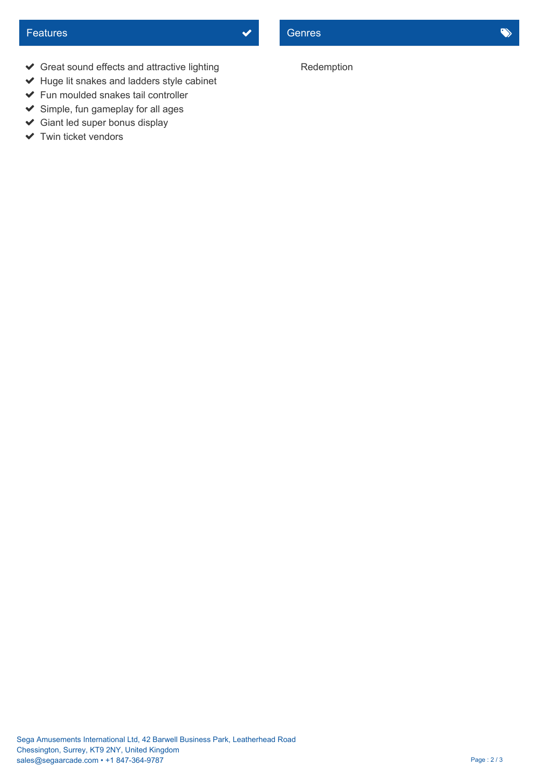- Great sound effects and attractive lighting
- $\blacktriangleright$  Huge lit snakes and ladders style cabinet
- $\blacktriangleright$  Fun moulded snakes tail controller
- $\blacktriangleright$  Simple, fun gameplay for all ages
- Giant led super bonus display
- $\blacktriangleright$  Twin ticket vendors

## Redemption

Sega Amusements International Ltd, 42 Barwell Business Park, Leatherhead Road Chessington, Surrey, KT9 2NY, United Kingdom sales@segaarcade.com • +1 847-364-9787